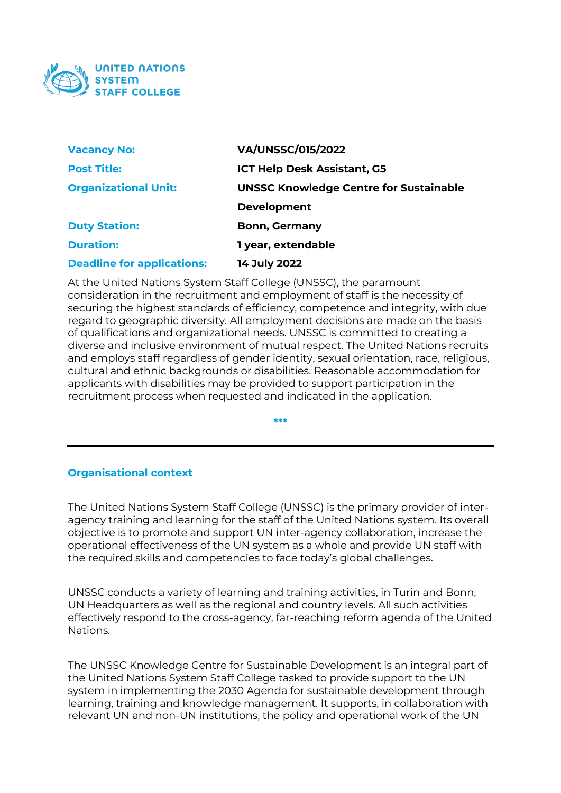

| <b>Vacancy No:</b>                | <b>VA/UNSSC/015/2022</b>                      |
|-----------------------------------|-----------------------------------------------|
| <b>Post Title:</b>                | <b>ICT Help Desk Assistant, G5</b>            |
| <b>Organizational Unit:</b>       | <b>UNSSC Knowledge Centre for Sustainable</b> |
|                                   | <b>Development</b>                            |
| <b>Duty Station:</b>              | <b>Bonn, Germany</b>                          |
| <b>Duration:</b>                  | 1 year, extendable                            |
| <b>Deadline for applications:</b> | 14 July 2022                                  |

At the United Nations System Staff College (UNSSC), the paramount consideration in the recruitment and employment of staff is the necessity of securing the highest standards of efficiency, competence and integrity, with due regard to geographic diversity. All employment decisions are made on the basis of qualifications and organizational needs. UNSSC is committed to creating a diverse and inclusive environment of mutual respect. The United Nations recruits and employs staff regardless of gender identity, sexual orientation, race, religious, cultural and ethnic backgrounds or disabilities. Reasonable accommodation for applicants with disabilities may be provided to support participation in the recruitment process when requested and indicated in the application.

**\*\*\***

## **Organisational context**

The United Nations System Staff College (UNSSC) is the primary provider of interagency training and learning for the staff of the United Nations system. Its overall objective is to promote and support UN inter-agency collaboration, increase the operational effectiveness of the UN system as a whole and provide UN staff with the required skills and competencies to face today's global challenges.

UNSSC conducts a variety of learning and training activities, in Turin and Bonn, UN Headquarters as well as the regional and country levels. All such activities effectively respond to the cross-agency, far-reaching reform agenda of the United Nations.

The UNSSC Knowledge Centre for Sustainable Development is an integral part of the United Nations System Staff College tasked to provide support to the UN system in implementing the 2030 Agenda for sustainable development through learning, training and knowledge management. It supports, in collaboration with relevant UN and non-UN institutions, the policy and operational work of the UN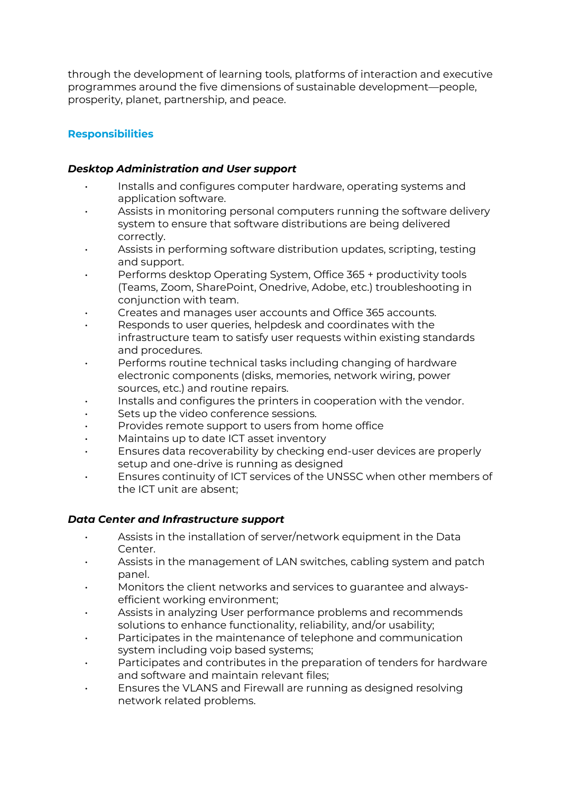through the development of learning tools, platforms of interaction and executive programmes around the five dimensions of sustainable development—people, prosperity, planet, partnership, and peace.

# **Responsibilities**

# *Desktop Administration and User support*

- Installs and configures computer hardware, operating systems and application software.
- Assists in monitoring personal computers running the software delivery system to ensure that software distributions are being delivered correctly.
- Assists in performing software distribution updates, scripting, testing and support.
- Performs desktop Operating System, Office 365 + productivity tools (Teams, Zoom, SharePoint, Onedrive, Adobe, etc.) troubleshooting in conjunction with team.
- Creates and manages user accounts and Office 365 accounts.
- Responds to user queries, helpdesk and coordinates with the infrastructure team to satisfy user requests within existing standards and procedures.
- Performs routine technical tasks including changing of hardware electronic components (disks, memories, network wiring, power sources, etc.) and routine repairs.
- Installs and configures the printers in cooperation with the vendor.
- Sets up the video conference sessions.
- Provides remote support to users from home office
- Maintains up to date ICT asset inventory
- Ensures data recoverability by checking end-user devices are properly setup and one-drive is running as designed
- Ensures continuity of ICT services of the UNSSC when other members of the ICT unit are absent;

## *Data Center and Infrastructure support*

- Assists in the installation of server/network equipment in the Data Center.
- Assists in the management of LAN switches, cabling system and patch panel.
- Monitors the client networks and services to guarantee and alwaysefficient working environment;
- Assists in analyzing User performance problems and recommends solutions to enhance functionality, reliability, and/or usability;
- Participates in the maintenance of telephone and communication system including voip based systems;
- Participates and contributes in the preparation of tenders for hardware and software and maintain relevant files;
- Ensures the VLANS and Firewall are running as designed resolving network related problems.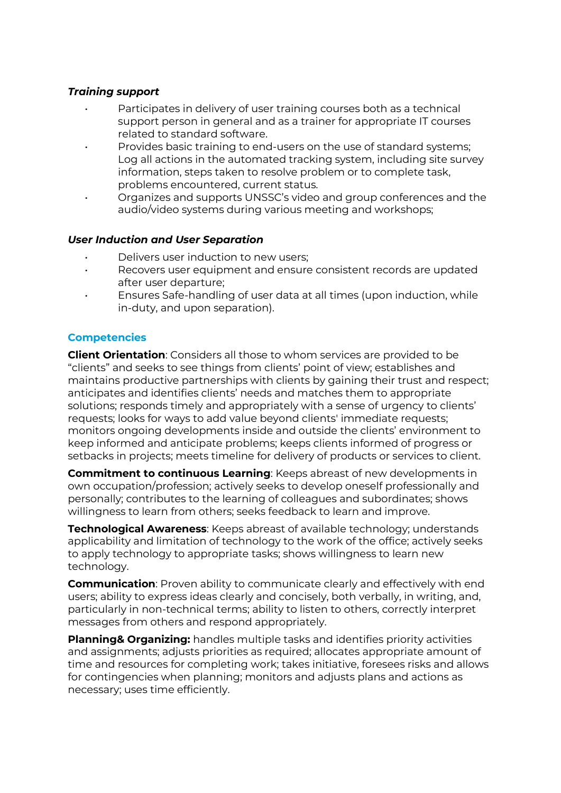#### *Training support*

- Participates in delivery of user training courses both as a technical support person in general and as a trainer for appropriate IT courses related to standard software.
- Provides basic training to end-users on the use of standard systems; Log all actions in the automated tracking system, including site survey information, steps taken to resolve problem or to complete task, problems encountered, current status.
- Organizes and supports UNSSC's video and group conferences and the audio/video systems during various meeting and workshops;

#### *User Induction and User Separation*

- Delivers user induction to new users:
- Recovers user equipment and ensure consistent records are updated after user departure;
- Ensures Safe-handling of user data at all times (upon induction, while in-duty, and upon separation).

## **Competencies**

**Client Orientation**: Considers all those to whom services are provided to be "clients" and seeks to see things from clients' point of view; establishes and maintains productive partnerships with clients by gaining their trust and respect; anticipates and identifies clients' needs and matches them to appropriate solutions; responds timely and appropriately with a sense of urgency to clients' requests; looks for ways to add value beyond clients' immediate requests; monitors ongoing developments inside and outside the clients' environment to keep informed and anticipate problems; keeps clients informed of progress or setbacks in projects; meets timeline for delivery of products or services to client.

**Commitment to continuous Learning**: Keeps abreast of new developments in own occupation/profession; actively seeks to develop oneself professionally and personally; contributes to the learning of colleagues and subordinates; shows willingness to learn from others; seeks feedback to learn and improve.

**Technological Awareness:** Keeps abreast of available technology; understands applicability and limitation of technology to the work of the office; actively seeks to apply technology to appropriate tasks; shows willingness to learn new technology.

**Communication**: Proven ability to communicate clearly and effectively with end users; ability to express ideas clearly and concisely, both verbally, in writing, and, particularly in non-technical terms; ability to listen to others, correctly interpret messages from others and respond appropriately.

**Planning& Organizing:** handles multiple tasks and identifies priority activities and assignments; adjusts priorities as required; allocates appropriate amount of time and resources for completing work; takes initiative, foresees risks and allows for contingencies when planning; monitors and adjusts plans and actions as necessary; uses time efficiently.